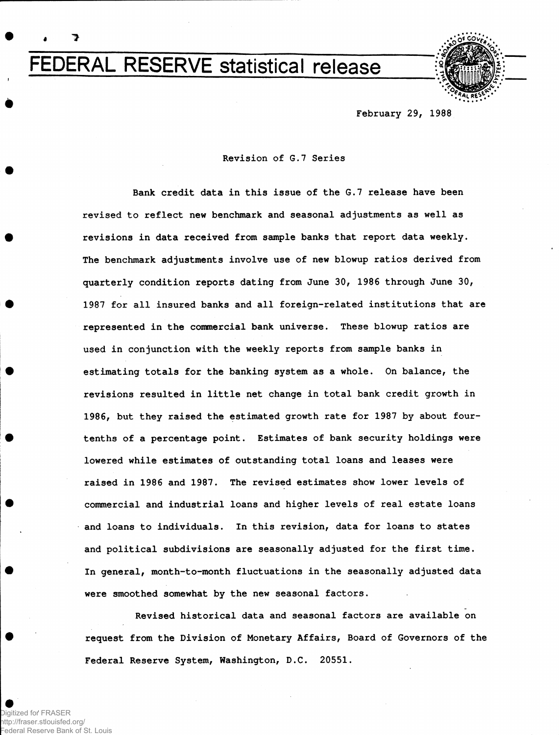FEDERAL RESERVE statistical release



**February 29, 1988**

# **Revision of G.7 Series**

**Bank credit data in this issue of the G.7 release have been revised to reflect new benchmark and seasonal adjustments as well as revisions in data received from sample banks that report data weekly. The benchmark adjustments involve use of new blowup ratios derived from quarterly condition reports dating from June 30, 1986 through June 30, 1987 for all insured banks and all foreign-related institutions that are represented in the commercial bank universe. These blowup ratios are used in conjunction with the weekly reports from sample banks in estimating totals for the banking system as a whole. On balance, the revisions resulted in little net change in total bank credit growth in 1986, but they raised the estimated growth rate for 1987 by about fourtenths of a percentage point. Estimates of bank security holdings were lowered while estimates of outstanding total loans and leases were raised in 1986 and 1987. The revised estimates show lower levels of commercial and industrial loans and higher levels of real estate loans and loans to individuals. In this revision, data for loans to states and political subdivisions are seasonally adjusted for the first time. In general, month-to-month fluctuations in the seasonally adjusted data were smoothed somewhat by the new seasonal factors.**

**Revised historical data and seasonal factors are available on request from the Division of Monetary Affairs, Board of Governors of the Federal Reserve System, Washington, D.C. 20551.**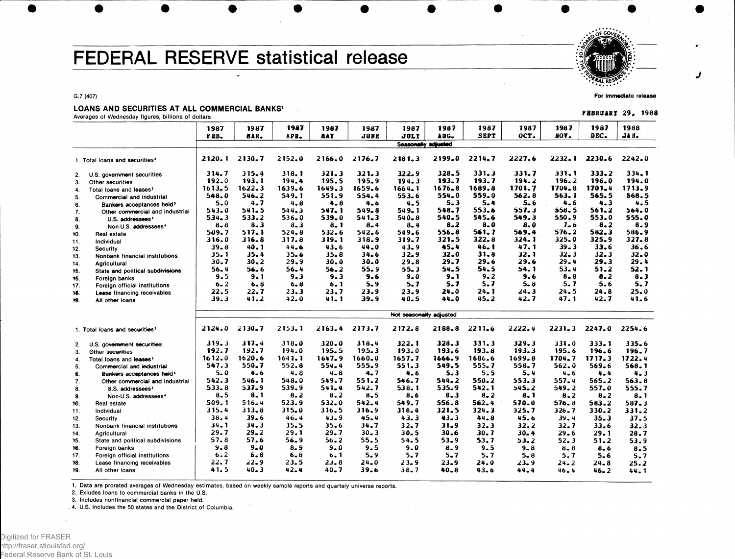# FEDERAL RESERVE statistical release

#### G.7 (407)

## LOANS AND SECURITIES AT ALL COMMERCIAL BANKS<sup>1</sup>

| 1987<br>1987<br>1987<br>1987<br>1987<br>1988<br>1987<br>1987<br>1987<br>1987<br>1987<br>1987<br><b>SEPT</b><br>OCT.<br>FOY.<br>DEC.<br><b>NAY</b><br><b>JUNE</b><br><b>JULY</b><br>AUG.<br>JA N.<br>PEB.<br>aar.<br>APR.<br>Seasonally adjusted<br>2199.0<br>2214.7<br>2227.6<br>2232.1<br>2120.1<br>2130.7<br>2152.0<br>2176.7<br>2181.3<br>2230.6<br>2242.0<br>2166.0<br>1. Total loans and securities <sup>2</sup><br>331.3<br>315.4<br>321.3<br>322.9<br>$328 - 5$<br>331.7<br>331.1<br>333.2<br>334.1<br>314.7<br>318.1<br>321.3<br>U.S. government securities<br>2.<br>192.0<br>193.1<br>194.4<br>195.5<br>$195 - 9$<br>194.3<br>193.7<br>193.7<br>194.2<br>$196 - 2$<br>196.0<br>194.0<br>Other securities<br>3.<br>1613.5<br>1622.3<br>1649.3<br>1659.6<br>1676.8<br>1689.8<br>1701.7<br>1704.8<br>1701.4<br>1713.9<br>1639.6<br>1664.1<br>Total loans and leases <sup>2</sup><br>4.<br>554.0<br>559.0<br>562.8<br>$563 - 1$<br>565.5<br>568.5<br>548.0<br>546.2<br>549.1<br>551.9<br>554.4<br>553.6<br>5.<br>Commercial and industrial<br>5.3<br>4.6<br>5.0<br>4.7<br>4.8<br>$4 - 8$<br>4.5<br>5.4<br>5. 6<br>4.3<br>4.5<br>4.6<br>6.<br>Bankers acceptances held <sup>3</sup><br>541.5<br>547.1<br>553.6<br>557.3<br>561.2<br>564.0<br>543.0<br>544.3<br>549.8<br>549.1<br>548.7<br>558.5<br>7.<br>Other commercial and industrial<br>533.2<br>539.0<br>540.5<br>545.6<br>549.3<br>550.9<br>553.0<br>555.0<br>$534 - 3$<br>536.0<br>$541 - 3$<br>540.8<br>8.<br>U.S. addressees'<br>$8 - 2$<br>$8 - 0$<br>$7 - 6$<br>8.2<br>$8 - 8$<br>$8 - 3$<br>$8 - 3$<br>8.1<br>$8 - 4$<br>$8 - 4$<br>8.0<br>$8 - 9$<br>Non-U.S. addressees <sup>4</sup><br>9.<br>509.7<br>517.1<br>561.7<br>569.4<br>576.2<br>582.3<br>524.8<br>532.6<br>542.6<br>549.6<br>556.8<br>586.9<br>Real estate<br>10.<br>325.9<br>316.8<br>317.8<br>319.1<br>$321 - 5$<br>322.8<br>324.1<br>$325 - 0$<br>$327 - 8$<br>316.0<br>318.9<br>319.7<br>Individual<br>11.<br>46.1<br>47.1<br>$39 - 3$<br>$33 - 6$<br>36.6<br>39.8<br>40.1<br>44.6<br>43.6<br>44.0<br>43.9<br>45.4<br>12.<br>Security<br>$32 - 0$<br>$31 - 8$<br>32.1<br>$32 - 3$<br>32.3<br>32.0<br>35.1<br>35.4<br>35.6<br>$35 - 8$<br>$34 - 6$<br>32.9<br>Nonbank financial institutions<br>13.<br>29.6<br>29.4<br>29.4<br>30.7<br>$30 - 2$<br>29.9<br>30.0<br>30.0<br>29.8<br>29.7<br>29.6<br>29.3<br>14.<br>Agricultural<br>$53 - 4$<br>$55 - 9$<br>55.3<br>54.5<br>54.1<br>$51 - 2$<br>52.1<br>56.4<br>56.6<br>56.4<br>$56 - 2$<br>54.5<br>15.<br>State and political subdivisions<br>9.5<br>9.6<br>$9 - 0$<br>9.1<br>$9 - 2$<br>9.6<br>$8 - 8$<br>8.2<br>$8 - 3$<br>9.1<br>9.3<br>9.3<br>16.<br>Foreign banks<br>$6 - 2$<br>5.7<br>$5 - 7$<br>5.7<br>5.7<br>$5 - 6$<br>5.7<br>6.8<br>6.8<br>6.1<br>5.9<br>5.8<br>17.<br>Foreign official institutions<br>22.5<br>$24 - 1$<br>24.8<br>25.0<br>23.3<br>23.7<br>23.9<br>23.9<br>24.0<br>24.3<br>24.5<br>22.7<br>18.<br>Lease financing receivables<br>42.0<br>$41 - 1$<br>39.9<br>40.5<br>$45 - 2$<br>42.7<br>47.1<br>42.7<br>41.6<br>39.3<br>41.2<br>44.0<br>19.<br>All other loans<br>Not seasonally adjusted<br>2130.7<br>2153.1<br>2163.4<br>2173.7<br>2172.8<br>2211.6<br>2222.4<br>2247.0<br>2254.6<br>2124.0<br>2188.8<br>$2231 - 3$<br>1. Total loans and securities <sup>2</sup><br>$317 - 4$<br>319.3<br>318.0<br>320.0<br>318.4<br>322.1<br>328.3<br>331.3<br>329.3<br>331.0<br>333.1<br>$335 - 6$<br>2.<br>U.S. government securities<br>192.7<br>195.5<br>195.3<br>$193 - 0$<br>193.3<br>195.6<br>192.7<br>194.0<br>$193 - 6$<br>193.8<br>196.6<br>196.7<br>3.<br>Other securities<br>1620.6<br>1699.8<br>1612.0<br>1641.1<br>1647.9<br>1660.0<br>1657.7<br>1666.9<br>1686.6<br>1704.7<br>1717.3<br>1722.4<br>$\ddot{4}$<br>Total loans and leases <sup>2</sup><br>547.3<br>550.7<br>554.4<br>555.9<br>549.5<br>555.7<br>552.8<br>551.3<br>558.7<br>562.0<br>569.6<br>568.1<br>-5.<br>Commercial and industrial<br>5.0<br>4.6<br>$4 - 8$<br>4.8<br>4.7<br>4.6<br>5.3<br>5.5<br>5.4<br>$4 - 6$<br>4.4<br>4.3<br>6.<br>Bankers acceptances held <sup>3</sup><br>542.3<br>546.1<br>548.0<br>549.7<br>551.2<br>546.7<br>544.2<br>550.2<br>553.3<br>557.4<br>565.2<br>563.8<br>7.<br>Other commercial and industrial<br>$533 - 8$<br>537.9<br>539.9<br>541.4<br>542.7<br>538.1<br>535.9<br>542.1<br>$545 - 2$<br>549.2<br>557.0<br>555.7<br>8.<br>U.S. addressees <sup>4</sup><br>$8 - 5$<br>8.1<br>8.2<br>8.2<br>8.5<br>$8 - 3$<br>$8 - 2$<br>$8 - 2$<br>8.6<br>8.1<br>$8 - 2$<br>8.1<br>9.<br>Non-U.S. addressees <sup>4</sup><br>532.0<br>509.1<br>516.4<br>523.9<br>542.4<br>549.7<br>562.4<br>570.0<br>576.8<br>556.8<br>583.2<br>$587 - 3$<br>10.<br>Real estate<br>315.4<br>313.8<br>315.0<br>316.5<br>316.9<br>318.4<br>321.5<br>324.3<br>325.7<br>326.7<br>330.2<br>331.2<br>Individual<br>11.<br>38.4<br>39.6<br>46.4<br>43.9<br>45.4<br>43.3<br>43.3<br>44.8<br>45.6<br>39.4<br>35.3<br>37.5<br>12.<br>Security<br>34.1<br>34.3<br>35.5<br>$35 - 6$<br>34.7<br>32.7<br>31.9<br>32.3<br>32.2<br>32.7<br>$33 - 6$<br>32.3<br>13.<br>Nonbank financial institutions<br>29.7<br>29.2<br>29.1<br>29.7<br>$30 - 3$<br>30.5<br>30.6<br>30.7<br>$30 - 4$<br>$29 - 6$<br>28.7<br>29.1<br>14.<br>Agricultural<br>57.8<br>57.6<br>56.9<br>$56 - 2$<br>55.5<br>54.5<br>53.9<br>53.7<br>52.3<br>15.<br>State and political subdivisions<br>53.2<br>51.2<br>53.9<br>$9 - 8$<br>$9 - 0$<br>$8 - 9$<br>$9 - 0$<br>9.5<br>9.0<br>16.<br>8.9<br>9.5<br>$9 - 8$<br>$8 - 8$<br>Foreign banks<br>$8 - 6$<br>8.5<br>6.2<br>6.8<br>$6 - 8$<br>$5 - 9$<br>5.7<br>5.7<br>5.7<br>6.1<br>$5 - 8$<br>5.7<br>17.<br>Foreign official institutions<br>5.6<br>5.7<br>22.7<br>22.9<br>23.5<br>23.8<br>$24 - 0$<br>23.9<br>18.<br>$23-9$<br>24.0<br>23.9<br>24.2<br>24.8<br>Lease financing receivables<br>25.2<br>41.5<br>$40 - 3$<br>42.4<br>$40 - 7$<br>39.6<br>$38 - 7$<br>19.<br>40.8<br>43.6<br>44.4<br>All other loans<br>46.4<br>46. 2<br>$44 - 1$ | LUANS AND SECUNITIES AT ALL CUMMERCIAL BANKS<br>Averages of Wednesday figures, billions of dollars |  |  |  |  |  |  |  |  |  |  |  | FEBRUARY 29, 1988 |
|-----------------------------------------------------------------------------------------------------------------------------------------------------------------------------------------------------------------------------------------------------------------------------------------------------------------------------------------------------------------------------------------------------------------------------------------------------------------------------------------------------------------------------------------------------------------------------------------------------------------------------------------------------------------------------------------------------------------------------------------------------------------------------------------------------------------------------------------------------------------------------------------------------------------------------------------------------------------------------------------------------------------------------------------------------------------------------------------------------------------------------------------------------------------------------------------------------------------------------------------------------------------------------------------------------------------------------------------------------------------------------------------------------------------------------------------------------------------------------------------------------------------------------------------------------------------------------------------------------------------------------------------------------------------------------------------------------------------------------------------------------------------------------------------------------------------------------------------------------------------------------------------------------------------------------------------------------------------------------------------------------------------------------------------------------------------------------------------------------------------------------------------------------------------------------------------------------------------------------------------------------------------------------------------------------------------------------------------------------------------------------------------------------------------------------------------------------------------------------------------------------------------------------------------------------------------------------------------------------------------------------------------------------------------------------------------------------------------------------------------------------------------------------------------------------------------------------------------------------------------------------------------------------------------------------------------------------------------------------------------------------------------------------------------------------------------------------------------------------------------------------------------------------------------------------------------------------------------------------------------------------------------------------------------------------------------------------------------------------------------------------------------------------------------------------------------------------------------------------------------------------------------------------------------------------------------------------------------------------------------------------------------------------------------------------------------------------------------------------------------------------------------------------------------------------------------------------------------------------------------------------------------------------------------------------------------------------------------------------------------------------------------------------------------------------------------------------------------------------------------------------------------------------------------------------------------------------------------------------------------------------------------------------------------------------------------------------------------------------------------------------------------------------------------------------------------------------------------------------------------------------------------------------------------------------------------------------------------------------------------------------------------------------------------------------------------------------------------------------------------------------------------------------------------------------------------------------------------------------------------------------------------------------------------------------------------------------------------------------------------------------------------------------------------------------------------------------------------------------------------------------------------------------------------------------------------------------------------------------------------------------------------------------------------------------------------------------------------------------------------------------------------------------------------------------------------------------------------------------------------------------------------------------------------------------------------------------------------------------------------------------------------------------------------------------------------------------------------------------------------------------------------------------------------------------------------------------------------------------------------------------------------------------------------------------------|----------------------------------------------------------------------------------------------------|--|--|--|--|--|--|--|--|--|--|--|-------------------|
|                                                                                                                                                                                                                                                                                                                                                                                                                                                                                                                                                                                                                                                                                                                                                                                                                                                                                                                                                                                                                                                                                                                                                                                                                                                                                                                                                                                                                                                                                                                                                                                                                                                                                                                                                                                                                                                                                                                                                                                                                                                                                                                                                                                                                                                                                                                                                                                                                                                                                                                                                                                                                                                                                                                                                                                                                                                                                                                                                                                                                                                                                                                                                                                                                                                                                                                                                                                                                                                                                                                                                                                                                                                                                                                                                                                                                                                                                                                                                                                                                                                                                                                                                                                                                                                                                                                                                                                                                                                                                                                                                                                                                                                                                                                                                                                                                                                                                                                                                                                                                                                                                                                                                                                                                                                                                                                                                                                                                                                                                                                                                                                                                                                                                                                                                                                                                                                                                                                                   |                                                                                                    |  |  |  |  |  |  |  |  |  |  |  |                   |
|                                                                                                                                                                                                                                                                                                                                                                                                                                                                                                                                                                                                                                                                                                                                                                                                                                                                                                                                                                                                                                                                                                                                                                                                                                                                                                                                                                                                                                                                                                                                                                                                                                                                                                                                                                                                                                                                                                                                                                                                                                                                                                                                                                                                                                                                                                                                                                                                                                                                                                                                                                                                                                                                                                                                                                                                                                                                                                                                                                                                                                                                                                                                                                                                                                                                                                                                                                                                                                                                                                                                                                                                                                                                                                                                                                                                                                                                                                                                                                                                                                                                                                                                                                                                                                                                                                                                                                                                                                                                                                                                                                                                                                                                                                                                                                                                                                                                                                                                                                                                                                                                                                                                                                                                                                                                                                                                                                                                                                                                                                                                                                                                                                                                                                                                                                                                                                                                                                                                   |                                                                                                    |  |  |  |  |  |  |  |  |  |  |  |                   |
|                                                                                                                                                                                                                                                                                                                                                                                                                                                                                                                                                                                                                                                                                                                                                                                                                                                                                                                                                                                                                                                                                                                                                                                                                                                                                                                                                                                                                                                                                                                                                                                                                                                                                                                                                                                                                                                                                                                                                                                                                                                                                                                                                                                                                                                                                                                                                                                                                                                                                                                                                                                                                                                                                                                                                                                                                                                                                                                                                                                                                                                                                                                                                                                                                                                                                                                                                                                                                                                                                                                                                                                                                                                                                                                                                                                                                                                                                                                                                                                                                                                                                                                                                                                                                                                                                                                                                                                                                                                                                                                                                                                                                                                                                                                                                                                                                                                                                                                                                                                                                                                                                                                                                                                                                                                                                                                                                                                                                                                                                                                                                                                                                                                                                                                                                                                                                                                                                                                                   |                                                                                                    |  |  |  |  |  |  |  |  |  |  |  |                   |
|                                                                                                                                                                                                                                                                                                                                                                                                                                                                                                                                                                                                                                                                                                                                                                                                                                                                                                                                                                                                                                                                                                                                                                                                                                                                                                                                                                                                                                                                                                                                                                                                                                                                                                                                                                                                                                                                                                                                                                                                                                                                                                                                                                                                                                                                                                                                                                                                                                                                                                                                                                                                                                                                                                                                                                                                                                                                                                                                                                                                                                                                                                                                                                                                                                                                                                                                                                                                                                                                                                                                                                                                                                                                                                                                                                                                                                                                                                                                                                                                                                                                                                                                                                                                                                                                                                                                                                                                                                                                                                                                                                                                                                                                                                                                                                                                                                                                                                                                                                                                                                                                                                                                                                                                                                                                                                                                                                                                                                                                                                                                                                                                                                                                                                                                                                                                                                                                                                                                   |                                                                                                    |  |  |  |  |  |  |  |  |  |  |  |                   |
|                                                                                                                                                                                                                                                                                                                                                                                                                                                                                                                                                                                                                                                                                                                                                                                                                                                                                                                                                                                                                                                                                                                                                                                                                                                                                                                                                                                                                                                                                                                                                                                                                                                                                                                                                                                                                                                                                                                                                                                                                                                                                                                                                                                                                                                                                                                                                                                                                                                                                                                                                                                                                                                                                                                                                                                                                                                                                                                                                                                                                                                                                                                                                                                                                                                                                                                                                                                                                                                                                                                                                                                                                                                                                                                                                                                                                                                                                                                                                                                                                                                                                                                                                                                                                                                                                                                                                                                                                                                                                                                                                                                                                                                                                                                                                                                                                                                                                                                                                                                                                                                                                                                                                                                                                                                                                                                                                                                                                                                                                                                                                                                                                                                                                                                                                                                                                                                                                                                                   |                                                                                                    |  |  |  |  |  |  |  |  |  |  |  |                   |
|                                                                                                                                                                                                                                                                                                                                                                                                                                                                                                                                                                                                                                                                                                                                                                                                                                                                                                                                                                                                                                                                                                                                                                                                                                                                                                                                                                                                                                                                                                                                                                                                                                                                                                                                                                                                                                                                                                                                                                                                                                                                                                                                                                                                                                                                                                                                                                                                                                                                                                                                                                                                                                                                                                                                                                                                                                                                                                                                                                                                                                                                                                                                                                                                                                                                                                                                                                                                                                                                                                                                                                                                                                                                                                                                                                                                                                                                                                                                                                                                                                                                                                                                                                                                                                                                                                                                                                                                                                                                                                                                                                                                                                                                                                                                                                                                                                                                                                                                                                                                                                                                                                                                                                                                                                                                                                                                                                                                                                                                                                                                                                                                                                                                                                                                                                                                                                                                                                                                   |                                                                                                    |  |  |  |  |  |  |  |  |  |  |  |                   |
|                                                                                                                                                                                                                                                                                                                                                                                                                                                                                                                                                                                                                                                                                                                                                                                                                                                                                                                                                                                                                                                                                                                                                                                                                                                                                                                                                                                                                                                                                                                                                                                                                                                                                                                                                                                                                                                                                                                                                                                                                                                                                                                                                                                                                                                                                                                                                                                                                                                                                                                                                                                                                                                                                                                                                                                                                                                                                                                                                                                                                                                                                                                                                                                                                                                                                                                                                                                                                                                                                                                                                                                                                                                                                                                                                                                                                                                                                                                                                                                                                                                                                                                                                                                                                                                                                                                                                                                                                                                                                                                                                                                                                                                                                                                                                                                                                                                                                                                                                                                                                                                                                                                                                                                                                                                                                                                                                                                                                                                                                                                                                                                                                                                                                                                                                                                                                                                                                                                                   |                                                                                                    |  |  |  |  |  |  |  |  |  |  |  |                   |
|                                                                                                                                                                                                                                                                                                                                                                                                                                                                                                                                                                                                                                                                                                                                                                                                                                                                                                                                                                                                                                                                                                                                                                                                                                                                                                                                                                                                                                                                                                                                                                                                                                                                                                                                                                                                                                                                                                                                                                                                                                                                                                                                                                                                                                                                                                                                                                                                                                                                                                                                                                                                                                                                                                                                                                                                                                                                                                                                                                                                                                                                                                                                                                                                                                                                                                                                                                                                                                                                                                                                                                                                                                                                                                                                                                                                                                                                                                                                                                                                                                                                                                                                                                                                                                                                                                                                                                                                                                                                                                                                                                                                                                                                                                                                                                                                                                                                                                                                                                                                                                                                                                                                                                                                                                                                                                                                                                                                                                                                                                                                                                                                                                                                                                                                                                                                                                                                                                                                   |                                                                                                    |  |  |  |  |  |  |  |  |  |  |  |                   |
|                                                                                                                                                                                                                                                                                                                                                                                                                                                                                                                                                                                                                                                                                                                                                                                                                                                                                                                                                                                                                                                                                                                                                                                                                                                                                                                                                                                                                                                                                                                                                                                                                                                                                                                                                                                                                                                                                                                                                                                                                                                                                                                                                                                                                                                                                                                                                                                                                                                                                                                                                                                                                                                                                                                                                                                                                                                                                                                                                                                                                                                                                                                                                                                                                                                                                                                                                                                                                                                                                                                                                                                                                                                                                                                                                                                                                                                                                                                                                                                                                                                                                                                                                                                                                                                                                                                                                                                                                                                                                                                                                                                                                                                                                                                                                                                                                                                                                                                                                                                                                                                                                                                                                                                                                                                                                                                                                                                                                                                                                                                                                                                                                                                                                                                                                                                                                                                                                                                                   |                                                                                                    |  |  |  |  |  |  |  |  |  |  |  |                   |
|                                                                                                                                                                                                                                                                                                                                                                                                                                                                                                                                                                                                                                                                                                                                                                                                                                                                                                                                                                                                                                                                                                                                                                                                                                                                                                                                                                                                                                                                                                                                                                                                                                                                                                                                                                                                                                                                                                                                                                                                                                                                                                                                                                                                                                                                                                                                                                                                                                                                                                                                                                                                                                                                                                                                                                                                                                                                                                                                                                                                                                                                                                                                                                                                                                                                                                                                                                                                                                                                                                                                                                                                                                                                                                                                                                                                                                                                                                                                                                                                                                                                                                                                                                                                                                                                                                                                                                                                                                                                                                                                                                                                                                                                                                                                                                                                                                                                                                                                                                                                                                                                                                                                                                                                                                                                                                                                                                                                                                                                                                                                                                                                                                                                                                                                                                                                                                                                                                                                   |                                                                                                    |  |  |  |  |  |  |  |  |  |  |  |                   |
|                                                                                                                                                                                                                                                                                                                                                                                                                                                                                                                                                                                                                                                                                                                                                                                                                                                                                                                                                                                                                                                                                                                                                                                                                                                                                                                                                                                                                                                                                                                                                                                                                                                                                                                                                                                                                                                                                                                                                                                                                                                                                                                                                                                                                                                                                                                                                                                                                                                                                                                                                                                                                                                                                                                                                                                                                                                                                                                                                                                                                                                                                                                                                                                                                                                                                                                                                                                                                                                                                                                                                                                                                                                                                                                                                                                                                                                                                                                                                                                                                                                                                                                                                                                                                                                                                                                                                                                                                                                                                                                                                                                                                                                                                                                                                                                                                                                                                                                                                                                                                                                                                                                                                                                                                                                                                                                                                                                                                                                                                                                                                                                                                                                                                                                                                                                                                                                                                                                                   |                                                                                                    |  |  |  |  |  |  |  |  |  |  |  |                   |
|                                                                                                                                                                                                                                                                                                                                                                                                                                                                                                                                                                                                                                                                                                                                                                                                                                                                                                                                                                                                                                                                                                                                                                                                                                                                                                                                                                                                                                                                                                                                                                                                                                                                                                                                                                                                                                                                                                                                                                                                                                                                                                                                                                                                                                                                                                                                                                                                                                                                                                                                                                                                                                                                                                                                                                                                                                                                                                                                                                                                                                                                                                                                                                                                                                                                                                                                                                                                                                                                                                                                                                                                                                                                                                                                                                                                                                                                                                                                                                                                                                                                                                                                                                                                                                                                                                                                                                                                                                                                                                                                                                                                                                                                                                                                                                                                                                                                                                                                                                                                                                                                                                                                                                                                                                                                                                                                                                                                                                                                                                                                                                                                                                                                                                                                                                                                                                                                                                                                   |                                                                                                    |  |  |  |  |  |  |  |  |  |  |  |                   |
|                                                                                                                                                                                                                                                                                                                                                                                                                                                                                                                                                                                                                                                                                                                                                                                                                                                                                                                                                                                                                                                                                                                                                                                                                                                                                                                                                                                                                                                                                                                                                                                                                                                                                                                                                                                                                                                                                                                                                                                                                                                                                                                                                                                                                                                                                                                                                                                                                                                                                                                                                                                                                                                                                                                                                                                                                                                                                                                                                                                                                                                                                                                                                                                                                                                                                                                                                                                                                                                                                                                                                                                                                                                                                                                                                                                                                                                                                                                                                                                                                                                                                                                                                                                                                                                                                                                                                                                                                                                                                                                                                                                                                                                                                                                                                                                                                                                                                                                                                                                                                                                                                                                                                                                                                                                                                                                                                                                                                                                                                                                                                                                                                                                                                                                                                                                                                                                                                                                                   |                                                                                                    |  |  |  |  |  |  |  |  |  |  |  |                   |
|                                                                                                                                                                                                                                                                                                                                                                                                                                                                                                                                                                                                                                                                                                                                                                                                                                                                                                                                                                                                                                                                                                                                                                                                                                                                                                                                                                                                                                                                                                                                                                                                                                                                                                                                                                                                                                                                                                                                                                                                                                                                                                                                                                                                                                                                                                                                                                                                                                                                                                                                                                                                                                                                                                                                                                                                                                                                                                                                                                                                                                                                                                                                                                                                                                                                                                                                                                                                                                                                                                                                                                                                                                                                                                                                                                                                                                                                                                                                                                                                                                                                                                                                                                                                                                                                                                                                                                                                                                                                                                                                                                                                                                                                                                                                                                                                                                                                                                                                                                                                                                                                                                                                                                                                                                                                                                                                                                                                                                                                                                                                                                                                                                                                                                                                                                                                                                                                                                                                   |                                                                                                    |  |  |  |  |  |  |  |  |  |  |  |                   |
|                                                                                                                                                                                                                                                                                                                                                                                                                                                                                                                                                                                                                                                                                                                                                                                                                                                                                                                                                                                                                                                                                                                                                                                                                                                                                                                                                                                                                                                                                                                                                                                                                                                                                                                                                                                                                                                                                                                                                                                                                                                                                                                                                                                                                                                                                                                                                                                                                                                                                                                                                                                                                                                                                                                                                                                                                                                                                                                                                                                                                                                                                                                                                                                                                                                                                                                                                                                                                                                                                                                                                                                                                                                                                                                                                                                                                                                                                                                                                                                                                                                                                                                                                                                                                                                                                                                                                                                                                                                                                                                                                                                                                                                                                                                                                                                                                                                                                                                                                                                                                                                                                                                                                                                                                                                                                                                                                                                                                                                                                                                                                                                                                                                                                                                                                                                                                                                                                                                                   |                                                                                                    |  |  |  |  |  |  |  |  |  |  |  |                   |
|                                                                                                                                                                                                                                                                                                                                                                                                                                                                                                                                                                                                                                                                                                                                                                                                                                                                                                                                                                                                                                                                                                                                                                                                                                                                                                                                                                                                                                                                                                                                                                                                                                                                                                                                                                                                                                                                                                                                                                                                                                                                                                                                                                                                                                                                                                                                                                                                                                                                                                                                                                                                                                                                                                                                                                                                                                                                                                                                                                                                                                                                                                                                                                                                                                                                                                                                                                                                                                                                                                                                                                                                                                                                                                                                                                                                                                                                                                                                                                                                                                                                                                                                                                                                                                                                                                                                                                                                                                                                                                                                                                                                                                                                                                                                                                                                                                                                                                                                                                                                                                                                                                                                                                                                                                                                                                                                                                                                                                                                                                                                                                                                                                                                                                                                                                                                                                                                                                                                   |                                                                                                    |  |  |  |  |  |  |  |  |  |  |  |                   |
|                                                                                                                                                                                                                                                                                                                                                                                                                                                                                                                                                                                                                                                                                                                                                                                                                                                                                                                                                                                                                                                                                                                                                                                                                                                                                                                                                                                                                                                                                                                                                                                                                                                                                                                                                                                                                                                                                                                                                                                                                                                                                                                                                                                                                                                                                                                                                                                                                                                                                                                                                                                                                                                                                                                                                                                                                                                                                                                                                                                                                                                                                                                                                                                                                                                                                                                                                                                                                                                                                                                                                                                                                                                                                                                                                                                                                                                                                                                                                                                                                                                                                                                                                                                                                                                                                                                                                                                                                                                                                                                                                                                                                                                                                                                                                                                                                                                                                                                                                                                                                                                                                                                                                                                                                                                                                                                                                                                                                                                                                                                                                                                                                                                                                                                                                                                                                                                                                                                                   |                                                                                                    |  |  |  |  |  |  |  |  |  |  |  |                   |
|                                                                                                                                                                                                                                                                                                                                                                                                                                                                                                                                                                                                                                                                                                                                                                                                                                                                                                                                                                                                                                                                                                                                                                                                                                                                                                                                                                                                                                                                                                                                                                                                                                                                                                                                                                                                                                                                                                                                                                                                                                                                                                                                                                                                                                                                                                                                                                                                                                                                                                                                                                                                                                                                                                                                                                                                                                                                                                                                                                                                                                                                                                                                                                                                                                                                                                                                                                                                                                                                                                                                                                                                                                                                                                                                                                                                                                                                                                                                                                                                                                                                                                                                                                                                                                                                                                                                                                                                                                                                                                                                                                                                                                                                                                                                                                                                                                                                                                                                                                                                                                                                                                                                                                                                                                                                                                                                                                                                                                                                                                                                                                                                                                                                                                                                                                                                                                                                                                                                   |                                                                                                    |  |  |  |  |  |  |  |  |  |  |  |                   |
|                                                                                                                                                                                                                                                                                                                                                                                                                                                                                                                                                                                                                                                                                                                                                                                                                                                                                                                                                                                                                                                                                                                                                                                                                                                                                                                                                                                                                                                                                                                                                                                                                                                                                                                                                                                                                                                                                                                                                                                                                                                                                                                                                                                                                                                                                                                                                                                                                                                                                                                                                                                                                                                                                                                                                                                                                                                                                                                                                                                                                                                                                                                                                                                                                                                                                                                                                                                                                                                                                                                                                                                                                                                                                                                                                                                                                                                                                                                                                                                                                                                                                                                                                                                                                                                                                                                                                                                                                                                                                                                                                                                                                                                                                                                                                                                                                                                                                                                                                                                                                                                                                                                                                                                                                                                                                                                                                                                                                                                                                                                                                                                                                                                                                                                                                                                                                                                                                                                                   |                                                                                                    |  |  |  |  |  |  |  |  |  |  |  |                   |
|                                                                                                                                                                                                                                                                                                                                                                                                                                                                                                                                                                                                                                                                                                                                                                                                                                                                                                                                                                                                                                                                                                                                                                                                                                                                                                                                                                                                                                                                                                                                                                                                                                                                                                                                                                                                                                                                                                                                                                                                                                                                                                                                                                                                                                                                                                                                                                                                                                                                                                                                                                                                                                                                                                                                                                                                                                                                                                                                                                                                                                                                                                                                                                                                                                                                                                                                                                                                                                                                                                                                                                                                                                                                                                                                                                                                                                                                                                                                                                                                                                                                                                                                                                                                                                                                                                                                                                                                                                                                                                                                                                                                                                                                                                                                                                                                                                                                                                                                                                                                                                                                                                                                                                                                                                                                                                                                                                                                                                                                                                                                                                                                                                                                                                                                                                                                                                                                                                                                   |                                                                                                    |  |  |  |  |  |  |  |  |  |  |  |                   |
|                                                                                                                                                                                                                                                                                                                                                                                                                                                                                                                                                                                                                                                                                                                                                                                                                                                                                                                                                                                                                                                                                                                                                                                                                                                                                                                                                                                                                                                                                                                                                                                                                                                                                                                                                                                                                                                                                                                                                                                                                                                                                                                                                                                                                                                                                                                                                                                                                                                                                                                                                                                                                                                                                                                                                                                                                                                                                                                                                                                                                                                                                                                                                                                                                                                                                                                                                                                                                                                                                                                                                                                                                                                                                                                                                                                                                                                                                                                                                                                                                                                                                                                                                                                                                                                                                                                                                                                                                                                                                                                                                                                                                                                                                                                                                                                                                                                                                                                                                                                                                                                                                                                                                                                                                                                                                                                                                                                                                                                                                                                                                                                                                                                                                                                                                                                                                                                                                                                                   |                                                                                                    |  |  |  |  |  |  |  |  |  |  |  |                   |
|                                                                                                                                                                                                                                                                                                                                                                                                                                                                                                                                                                                                                                                                                                                                                                                                                                                                                                                                                                                                                                                                                                                                                                                                                                                                                                                                                                                                                                                                                                                                                                                                                                                                                                                                                                                                                                                                                                                                                                                                                                                                                                                                                                                                                                                                                                                                                                                                                                                                                                                                                                                                                                                                                                                                                                                                                                                                                                                                                                                                                                                                                                                                                                                                                                                                                                                                                                                                                                                                                                                                                                                                                                                                                                                                                                                                                                                                                                                                                                                                                                                                                                                                                                                                                                                                                                                                                                                                                                                                                                                                                                                                                                                                                                                                                                                                                                                                                                                                                                                                                                                                                                                                                                                                                                                                                                                                                                                                                                                                                                                                                                                                                                                                                                                                                                                                                                                                                                                                   |                                                                                                    |  |  |  |  |  |  |  |  |  |  |  |                   |
|                                                                                                                                                                                                                                                                                                                                                                                                                                                                                                                                                                                                                                                                                                                                                                                                                                                                                                                                                                                                                                                                                                                                                                                                                                                                                                                                                                                                                                                                                                                                                                                                                                                                                                                                                                                                                                                                                                                                                                                                                                                                                                                                                                                                                                                                                                                                                                                                                                                                                                                                                                                                                                                                                                                                                                                                                                                                                                                                                                                                                                                                                                                                                                                                                                                                                                                                                                                                                                                                                                                                                                                                                                                                                                                                                                                                                                                                                                                                                                                                                                                                                                                                                                                                                                                                                                                                                                                                                                                                                                                                                                                                                                                                                                                                                                                                                                                                                                                                                                                                                                                                                                                                                                                                                                                                                                                                                                                                                                                                                                                                                                                                                                                                                                                                                                                                                                                                                                                                   |                                                                                                    |  |  |  |  |  |  |  |  |  |  |  |                   |
|                                                                                                                                                                                                                                                                                                                                                                                                                                                                                                                                                                                                                                                                                                                                                                                                                                                                                                                                                                                                                                                                                                                                                                                                                                                                                                                                                                                                                                                                                                                                                                                                                                                                                                                                                                                                                                                                                                                                                                                                                                                                                                                                                                                                                                                                                                                                                                                                                                                                                                                                                                                                                                                                                                                                                                                                                                                                                                                                                                                                                                                                                                                                                                                                                                                                                                                                                                                                                                                                                                                                                                                                                                                                                                                                                                                                                                                                                                                                                                                                                                                                                                                                                                                                                                                                                                                                                                                                                                                                                                                                                                                                                                                                                                                                                                                                                                                                                                                                                                                                                                                                                                                                                                                                                                                                                                                                                                                                                                                                                                                                                                                                                                                                                                                                                                                                                                                                                                                                   |                                                                                                    |  |  |  |  |  |  |  |  |  |  |  |                   |
|                                                                                                                                                                                                                                                                                                                                                                                                                                                                                                                                                                                                                                                                                                                                                                                                                                                                                                                                                                                                                                                                                                                                                                                                                                                                                                                                                                                                                                                                                                                                                                                                                                                                                                                                                                                                                                                                                                                                                                                                                                                                                                                                                                                                                                                                                                                                                                                                                                                                                                                                                                                                                                                                                                                                                                                                                                                                                                                                                                                                                                                                                                                                                                                                                                                                                                                                                                                                                                                                                                                                                                                                                                                                                                                                                                                                                                                                                                                                                                                                                                                                                                                                                                                                                                                                                                                                                                                                                                                                                                                                                                                                                                                                                                                                                                                                                                                                                                                                                                                                                                                                                                                                                                                                                                                                                                                                                                                                                                                                                                                                                                                                                                                                                                                                                                                                                                                                                                                                   |                                                                                                    |  |  |  |  |  |  |  |  |  |  |  |                   |
|                                                                                                                                                                                                                                                                                                                                                                                                                                                                                                                                                                                                                                                                                                                                                                                                                                                                                                                                                                                                                                                                                                                                                                                                                                                                                                                                                                                                                                                                                                                                                                                                                                                                                                                                                                                                                                                                                                                                                                                                                                                                                                                                                                                                                                                                                                                                                                                                                                                                                                                                                                                                                                                                                                                                                                                                                                                                                                                                                                                                                                                                                                                                                                                                                                                                                                                                                                                                                                                                                                                                                                                                                                                                                                                                                                                                                                                                                                                                                                                                                                                                                                                                                                                                                                                                                                                                                                                                                                                                                                                                                                                                                                                                                                                                                                                                                                                                                                                                                                                                                                                                                                                                                                                                                                                                                                                                                                                                                                                                                                                                                                                                                                                                                                                                                                                                                                                                                                                                   |                                                                                                    |  |  |  |  |  |  |  |  |  |  |  |                   |
|                                                                                                                                                                                                                                                                                                                                                                                                                                                                                                                                                                                                                                                                                                                                                                                                                                                                                                                                                                                                                                                                                                                                                                                                                                                                                                                                                                                                                                                                                                                                                                                                                                                                                                                                                                                                                                                                                                                                                                                                                                                                                                                                                                                                                                                                                                                                                                                                                                                                                                                                                                                                                                                                                                                                                                                                                                                                                                                                                                                                                                                                                                                                                                                                                                                                                                                                                                                                                                                                                                                                                                                                                                                                                                                                                                                                                                                                                                                                                                                                                                                                                                                                                                                                                                                                                                                                                                                                                                                                                                                                                                                                                                                                                                                                                                                                                                                                                                                                                                                                                                                                                                                                                                                                                                                                                                                                                                                                                                                                                                                                                                                                                                                                                                                                                                                                                                                                                                                                   |                                                                                                    |  |  |  |  |  |  |  |  |  |  |  |                   |
|                                                                                                                                                                                                                                                                                                                                                                                                                                                                                                                                                                                                                                                                                                                                                                                                                                                                                                                                                                                                                                                                                                                                                                                                                                                                                                                                                                                                                                                                                                                                                                                                                                                                                                                                                                                                                                                                                                                                                                                                                                                                                                                                                                                                                                                                                                                                                                                                                                                                                                                                                                                                                                                                                                                                                                                                                                                                                                                                                                                                                                                                                                                                                                                                                                                                                                                                                                                                                                                                                                                                                                                                                                                                                                                                                                                                                                                                                                                                                                                                                                                                                                                                                                                                                                                                                                                                                                                                                                                                                                                                                                                                                                                                                                                                                                                                                                                                                                                                                                                                                                                                                                                                                                                                                                                                                                                                                                                                                                                                                                                                                                                                                                                                                                                                                                                                                                                                                                                                   |                                                                                                    |  |  |  |  |  |  |  |  |  |  |  |                   |
|                                                                                                                                                                                                                                                                                                                                                                                                                                                                                                                                                                                                                                                                                                                                                                                                                                                                                                                                                                                                                                                                                                                                                                                                                                                                                                                                                                                                                                                                                                                                                                                                                                                                                                                                                                                                                                                                                                                                                                                                                                                                                                                                                                                                                                                                                                                                                                                                                                                                                                                                                                                                                                                                                                                                                                                                                                                                                                                                                                                                                                                                                                                                                                                                                                                                                                                                                                                                                                                                                                                                                                                                                                                                                                                                                                                                                                                                                                                                                                                                                                                                                                                                                                                                                                                                                                                                                                                                                                                                                                                                                                                                                                                                                                                                                                                                                                                                                                                                                                                                                                                                                                                                                                                                                                                                                                                                                                                                                                                                                                                                                                                                                                                                                                                                                                                                                                                                                                                                   |                                                                                                    |  |  |  |  |  |  |  |  |  |  |  |                   |
|                                                                                                                                                                                                                                                                                                                                                                                                                                                                                                                                                                                                                                                                                                                                                                                                                                                                                                                                                                                                                                                                                                                                                                                                                                                                                                                                                                                                                                                                                                                                                                                                                                                                                                                                                                                                                                                                                                                                                                                                                                                                                                                                                                                                                                                                                                                                                                                                                                                                                                                                                                                                                                                                                                                                                                                                                                                                                                                                                                                                                                                                                                                                                                                                                                                                                                                                                                                                                                                                                                                                                                                                                                                                                                                                                                                                                                                                                                                                                                                                                                                                                                                                                                                                                                                                                                                                                                                                                                                                                                                                                                                                                                                                                                                                                                                                                                                                                                                                                                                                                                                                                                                                                                                                                                                                                                                                                                                                                                                                                                                                                                                                                                                                                                                                                                                                                                                                                                                                   |                                                                                                    |  |  |  |  |  |  |  |  |  |  |  |                   |
|                                                                                                                                                                                                                                                                                                                                                                                                                                                                                                                                                                                                                                                                                                                                                                                                                                                                                                                                                                                                                                                                                                                                                                                                                                                                                                                                                                                                                                                                                                                                                                                                                                                                                                                                                                                                                                                                                                                                                                                                                                                                                                                                                                                                                                                                                                                                                                                                                                                                                                                                                                                                                                                                                                                                                                                                                                                                                                                                                                                                                                                                                                                                                                                                                                                                                                                                                                                                                                                                                                                                                                                                                                                                                                                                                                                                                                                                                                                                                                                                                                                                                                                                                                                                                                                                                                                                                                                                                                                                                                                                                                                                                                                                                                                                                                                                                                                                                                                                                                                                                                                                                                                                                                                                                                                                                                                                                                                                                                                                                                                                                                                                                                                                                                                                                                                                                                                                                                                                   |                                                                                                    |  |  |  |  |  |  |  |  |  |  |  |                   |
|                                                                                                                                                                                                                                                                                                                                                                                                                                                                                                                                                                                                                                                                                                                                                                                                                                                                                                                                                                                                                                                                                                                                                                                                                                                                                                                                                                                                                                                                                                                                                                                                                                                                                                                                                                                                                                                                                                                                                                                                                                                                                                                                                                                                                                                                                                                                                                                                                                                                                                                                                                                                                                                                                                                                                                                                                                                                                                                                                                                                                                                                                                                                                                                                                                                                                                                                                                                                                                                                                                                                                                                                                                                                                                                                                                                                                                                                                                                                                                                                                                                                                                                                                                                                                                                                                                                                                                                                                                                                                                                                                                                                                                                                                                                                                                                                                                                                                                                                                                                                                                                                                                                                                                                                                                                                                                                                                                                                                                                                                                                                                                                                                                                                                                                                                                                                                                                                                                                                   |                                                                                                    |  |  |  |  |  |  |  |  |  |  |  |                   |
|                                                                                                                                                                                                                                                                                                                                                                                                                                                                                                                                                                                                                                                                                                                                                                                                                                                                                                                                                                                                                                                                                                                                                                                                                                                                                                                                                                                                                                                                                                                                                                                                                                                                                                                                                                                                                                                                                                                                                                                                                                                                                                                                                                                                                                                                                                                                                                                                                                                                                                                                                                                                                                                                                                                                                                                                                                                                                                                                                                                                                                                                                                                                                                                                                                                                                                                                                                                                                                                                                                                                                                                                                                                                                                                                                                                                                                                                                                                                                                                                                                                                                                                                                                                                                                                                                                                                                                                                                                                                                                                                                                                                                                                                                                                                                                                                                                                                                                                                                                                                                                                                                                                                                                                                                                                                                                                                                                                                                                                                                                                                                                                                                                                                                                                                                                                                                                                                                                                                   |                                                                                                    |  |  |  |  |  |  |  |  |  |  |  |                   |
|                                                                                                                                                                                                                                                                                                                                                                                                                                                                                                                                                                                                                                                                                                                                                                                                                                                                                                                                                                                                                                                                                                                                                                                                                                                                                                                                                                                                                                                                                                                                                                                                                                                                                                                                                                                                                                                                                                                                                                                                                                                                                                                                                                                                                                                                                                                                                                                                                                                                                                                                                                                                                                                                                                                                                                                                                                                                                                                                                                                                                                                                                                                                                                                                                                                                                                                                                                                                                                                                                                                                                                                                                                                                                                                                                                                                                                                                                                                                                                                                                                                                                                                                                                                                                                                                                                                                                                                                                                                                                                                                                                                                                                                                                                                                                                                                                                                                                                                                                                                                                                                                                                                                                                                                                                                                                                                                                                                                                                                                                                                                                                                                                                                                                                                                                                                                                                                                                                                                   |                                                                                                    |  |  |  |  |  |  |  |  |  |  |  |                   |
|                                                                                                                                                                                                                                                                                                                                                                                                                                                                                                                                                                                                                                                                                                                                                                                                                                                                                                                                                                                                                                                                                                                                                                                                                                                                                                                                                                                                                                                                                                                                                                                                                                                                                                                                                                                                                                                                                                                                                                                                                                                                                                                                                                                                                                                                                                                                                                                                                                                                                                                                                                                                                                                                                                                                                                                                                                                                                                                                                                                                                                                                                                                                                                                                                                                                                                                                                                                                                                                                                                                                                                                                                                                                                                                                                                                                                                                                                                                                                                                                                                                                                                                                                                                                                                                                                                                                                                                                                                                                                                                                                                                                                                                                                                                                                                                                                                                                                                                                                                                                                                                                                                                                                                                                                                                                                                                                                                                                                                                                                                                                                                                                                                                                                                                                                                                                                                                                                                                                   |                                                                                                    |  |  |  |  |  |  |  |  |  |  |  |                   |
|                                                                                                                                                                                                                                                                                                                                                                                                                                                                                                                                                                                                                                                                                                                                                                                                                                                                                                                                                                                                                                                                                                                                                                                                                                                                                                                                                                                                                                                                                                                                                                                                                                                                                                                                                                                                                                                                                                                                                                                                                                                                                                                                                                                                                                                                                                                                                                                                                                                                                                                                                                                                                                                                                                                                                                                                                                                                                                                                                                                                                                                                                                                                                                                                                                                                                                                                                                                                                                                                                                                                                                                                                                                                                                                                                                                                                                                                                                                                                                                                                                                                                                                                                                                                                                                                                                                                                                                                                                                                                                                                                                                                                                                                                                                                                                                                                                                                                                                                                                                                                                                                                                                                                                                                                                                                                                                                                                                                                                                                                                                                                                                                                                                                                                                                                                                                                                                                                                                                   |                                                                                                    |  |  |  |  |  |  |  |  |  |  |  |                   |
|                                                                                                                                                                                                                                                                                                                                                                                                                                                                                                                                                                                                                                                                                                                                                                                                                                                                                                                                                                                                                                                                                                                                                                                                                                                                                                                                                                                                                                                                                                                                                                                                                                                                                                                                                                                                                                                                                                                                                                                                                                                                                                                                                                                                                                                                                                                                                                                                                                                                                                                                                                                                                                                                                                                                                                                                                                                                                                                                                                                                                                                                                                                                                                                                                                                                                                                                                                                                                                                                                                                                                                                                                                                                                                                                                                                                                                                                                                                                                                                                                                                                                                                                                                                                                                                                                                                                                                                                                                                                                                                                                                                                                                                                                                                                                                                                                                                                                                                                                                                                                                                                                                                                                                                                                                                                                                                                                                                                                                                                                                                                                                                                                                                                                                                                                                                                                                                                                                                                   |                                                                                                    |  |  |  |  |  |  |  |  |  |  |  |                   |
|                                                                                                                                                                                                                                                                                                                                                                                                                                                                                                                                                                                                                                                                                                                                                                                                                                                                                                                                                                                                                                                                                                                                                                                                                                                                                                                                                                                                                                                                                                                                                                                                                                                                                                                                                                                                                                                                                                                                                                                                                                                                                                                                                                                                                                                                                                                                                                                                                                                                                                                                                                                                                                                                                                                                                                                                                                                                                                                                                                                                                                                                                                                                                                                                                                                                                                                                                                                                                                                                                                                                                                                                                                                                                                                                                                                                                                                                                                                                                                                                                                                                                                                                                                                                                                                                                                                                                                                                                                                                                                                                                                                                                                                                                                                                                                                                                                                                                                                                                                                                                                                                                                                                                                                                                                                                                                                                                                                                                                                                                                                                                                                                                                                                                                                                                                                                                                                                                                                                   |                                                                                                    |  |  |  |  |  |  |  |  |  |  |  |                   |
|                                                                                                                                                                                                                                                                                                                                                                                                                                                                                                                                                                                                                                                                                                                                                                                                                                                                                                                                                                                                                                                                                                                                                                                                                                                                                                                                                                                                                                                                                                                                                                                                                                                                                                                                                                                                                                                                                                                                                                                                                                                                                                                                                                                                                                                                                                                                                                                                                                                                                                                                                                                                                                                                                                                                                                                                                                                                                                                                                                                                                                                                                                                                                                                                                                                                                                                                                                                                                                                                                                                                                                                                                                                                                                                                                                                                                                                                                                                                                                                                                                                                                                                                                                                                                                                                                                                                                                                                                                                                                                                                                                                                                                                                                                                                                                                                                                                                                                                                                                                                                                                                                                                                                                                                                                                                                                                                                                                                                                                                                                                                                                                                                                                                                                                                                                                                                                                                                                                                   |                                                                                                    |  |  |  |  |  |  |  |  |  |  |  |                   |
|                                                                                                                                                                                                                                                                                                                                                                                                                                                                                                                                                                                                                                                                                                                                                                                                                                                                                                                                                                                                                                                                                                                                                                                                                                                                                                                                                                                                                                                                                                                                                                                                                                                                                                                                                                                                                                                                                                                                                                                                                                                                                                                                                                                                                                                                                                                                                                                                                                                                                                                                                                                                                                                                                                                                                                                                                                                                                                                                                                                                                                                                                                                                                                                                                                                                                                                                                                                                                                                                                                                                                                                                                                                                                                                                                                                                                                                                                                                                                                                                                                                                                                                                                                                                                                                                                                                                                                                                                                                                                                                                                                                                                                                                                                                                                                                                                                                                                                                                                                                                                                                                                                                                                                                                                                                                                                                                                                                                                                                                                                                                                                                                                                                                                                                                                                                                                                                                                                                                   |                                                                                                    |  |  |  |  |  |  |  |  |  |  |  |                   |
|                                                                                                                                                                                                                                                                                                                                                                                                                                                                                                                                                                                                                                                                                                                                                                                                                                                                                                                                                                                                                                                                                                                                                                                                                                                                                                                                                                                                                                                                                                                                                                                                                                                                                                                                                                                                                                                                                                                                                                                                                                                                                                                                                                                                                                                                                                                                                                                                                                                                                                                                                                                                                                                                                                                                                                                                                                                                                                                                                                                                                                                                                                                                                                                                                                                                                                                                                                                                                                                                                                                                                                                                                                                                                                                                                                                                                                                                                                                                                                                                                                                                                                                                                                                                                                                                                                                                                                                                                                                                                                                                                                                                                                                                                                                                                                                                                                                                                                                                                                                                                                                                                                                                                                                                                                                                                                                                                                                                                                                                                                                                                                                                                                                                                                                                                                                                                                                                                                                                   |                                                                                                    |  |  |  |  |  |  |  |  |  |  |  |                   |
|                                                                                                                                                                                                                                                                                                                                                                                                                                                                                                                                                                                                                                                                                                                                                                                                                                                                                                                                                                                                                                                                                                                                                                                                                                                                                                                                                                                                                                                                                                                                                                                                                                                                                                                                                                                                                                                                                                                                                                                                                                                                                                                                                                                                                                                                                                                                                                                                                                                                                                                                                                                                                                                                                                                                                                                                                                                                                                                                                                                                                                                                                                                                                                                                                                                                                                                                                                                                                                                                                                                                                                                                                                                                                                                                                                                                                                                                                                                                                                                                                                                                                                                                                                                                                                                                                                                                                                                                                                                                                                                                                                                                                                                                                                                                                                                                                                                                                                                                                                                                                                                                                                                                                                                                                                                                                                                                                                                                                                                                                                                                                                                                                                                                                                                                                                                                                                                                                                                                   |                                                                                                    |  |  |  |  |  |  |  |  |  |  |  |                   |

1. Data are prorated averages of Wednesday estimates, based on weekly sample reports and quartely universe reports.

2. Exludes loans to commercial banks in the U.S.

3. Includes nonfinancial commercial paper held.

, 4. U.S. includes the 50 states and the District of Columbia.



For immediate release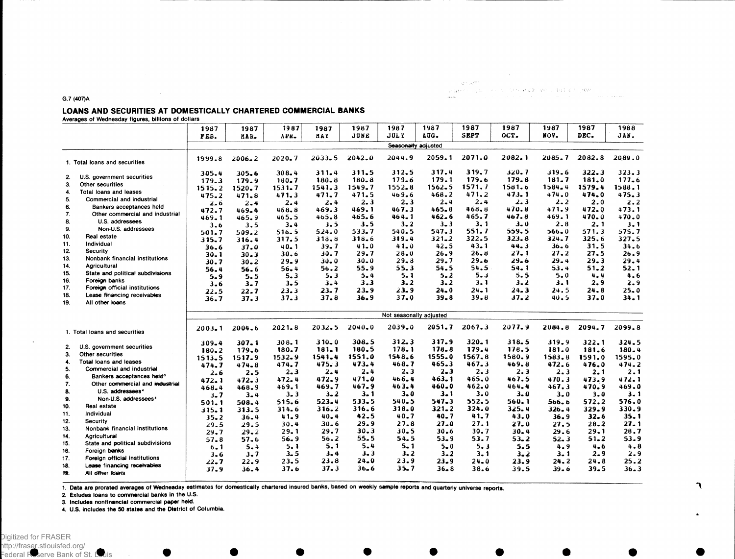$\begin{array}{l} \texttt{G} \cap \mathcal{A}^{\texttt{dR}}_{\texttt{c}} \end{array} \begin{array}{l} \texttt{G} \cap \mathcal{A}^{\texttt{dR}}_{\texttt{c}} \end{array} \begin{array}{l} \mathcal{A} \cap \mathcal{A} \cap \mathcal{A} \cap \mathcal{A} \cap \mathcal{A} \cap \mathcal{A} \cap \mathcal{A} \cap \mathcal{A} \cap \mathcal{A} \cap \mathcal{A} \cap \mathcal{A} \cap \mathcal{A} \cap \mathcal{A} \cap \mathcal{A} \cap \mathcal{A} \cap \mathcal{A} \cap \mathcal$ 

#### LOANS AND SECURITIES AT DOMESTICALLY CHARTERED COMMERCIAL BANKS

Averages of Wednesday figures, billions of dollars

G.7 (407)A

|                 |                                       | 1987       | 1987      | 1987       | 1987      | 1987      | 1987                    | 1987       | 1987            | 1987     | 1987        | 1987     | 1988      |
|-----------------|---------------------------------------|------------|-----------|------------|-----------|-----------|-------------------------|------------|-----------------|----------|-------------|----------|-----------|
|                 |                                       | FEB.       | MAR.      | APR.       | MAY       | JUNE      | <b>JULY</b>             | AUG.       | SEPT            | OCT.     | NOV.        | DEC.     | JAN.      |
|                 |                                       |            |           |            |           |           | Seasonally adjusted     |            |                 |          |             |          |           |
|                 |                                       |            |           |            |           |           |                         |            |                 |          |             |          |           |
|                 | 1. Total loans and securities         | 1999.8     | 2006.2    | 2020.7     | 2033.5    | 2042.0    | 2044.9                  | 2059.1     | 2071.0          | 2082.1   | 2085.7      | 2082.8   | 2089.0    |
|                 | U.S. government securities            | 305.4      | $305 - 6$ | 308.4      | $311 - 4$ | 311.5     | 312.5                   | 317.4      | 319.7           | 320.7    | 319.6       | 322.3    | 323.3     |
| 2.<br>3.        | Other securities                      | 179.3      | 179.9     | $180 - 7$  | $180 - 8$ | $180 - 8$ | 179.6                   | 179.1      | 179.6           | 179.8    | 181.7       | 181.0    | 177.6     |
|                 |                                       | 1515.2     | 1520.7    | 1531.7     | 1541.3    | 1549.7    | $1552 - 8$              | $1562 - 5$ | 1571.7          | 1581.6   | 1584.4      | 1579.4   | 1588.1    |
| 4.              | Total loans and leases                | 475.2      | 471.8     | 471.3      | 471.7     | 471.5     | 469.6                   | 468.2      | 471.2           | 473.1    | 474.0       | 474.0    | 475.3     |
| 5.              | Commercial and industrial             | 2.6        | 2.4       | 2.4        | $2 - 4$   | 2.3       | $2 - 3$                 | $2 - 4$    | 2.4             | 2.3      | 2.2         | 2.0      | 2.2       |
| 6.              | Bankers acceptances held              | 472.7      | 469.4     | 468.8      | 469.3     | 469.1     | 467.3                   | $465 - 8$  | 468.8           | 470.8    | 471.9       | 472.0    | 473.1     |
| 7.              | Other commercial and industrial       | 469.1      | 465.9     | 465.5      | 465.8     | 465.6     | 464.1                   | 462.6      | 465.7           | 467.8    | 469.1       | 470.0    | 470.0     |
| 8.              | U.S. addressees                       | 3.6        | 3.5       | 3.4        | 3.5       | 3.5       | $3 - 2$                 | $3 - 3$    | 3.1             | 3.0      | 2.8         | 2. 1     | 3.1       |
| 9.              | Non-U.S. addressees                   | 501.7      | 509.2     | 516.5      | 524.0     | 533.7     | 540.5                   | 547.3      | 551.7           | 559.5    | 566.0       | 571.3    | 575.7     |
| 10.             | Real estate                           | 315.7      | 316.4     | 317.5      | 318.8     | 318.6     | 319.4                   | $321 - 2$  | 322.5           | 323.8    | 324.7       | 325.6    | 327.5     |
| 11.             | Individual                            | 36.6       | 37.0      | $40 - 1$   | 39.7      | 41.0      | 41.0                    | 42.5       | $43 - 1$        | 44.3     | $36 - 6$    | 31.5     | 34.6      |
| 12 <sub>2</sub> | Security                              | $30 - 1$   | $30 - 3$  | 30.6       | 30.7      | 29.7      | $28 - 0$                | 26.9       | 26.8            | 27. 1    | 27.2        | 27.5     | 26.9      |
| 13.             | Nonbank financial institutions        | 30.7       | 30.2      | 29.9       | 30.0      | $30 - 0$  | $29 - 8$                | 29.7       | 29.6            | $29 - 6$ | 29.4        | 29.3     | 29.4      |
| 14.             | Agricultural                          | 56.4       | 56.6      | 56.4       | 56.2      | 55.9      | 55.3                    | 54.5       | 54.5            | 54.1     | 53.4        | $51 - 2$ | 52.1      |
| 15.             | State and political subdivisions      | $5 - 9$    | 5.5       | 5.3        | 5.3       | $5 - 4$   | $5 - 1$                 | $5 - 2$    | 5.3             | 5.5      | $5 - 0$     | $4 - 4$  | 4.6       |
| 16.             | Foreion banks                         | 3.6        | $3 - 7$   | 3.5        | $3 - 4$   | 3.3       | $3 - 2$                 | $3 - 2$    | $3 - 1$         | $3 - 2$  | $3 - 1$     | 2.9      | $2 - 9$   |
| 17.             | Foreign official institutions         | 22.5       | $22 - 7$  | 23.3       | 23. 7     | 23.9      | $23 - 9$                | 24.0       | $24 - 1$        | $24 - 3$ | 24.5        | 24.8     | $25 - 0$  |
| 18.             | Lease financing receivables           | 36.7       | 37.3      | 37.3       | 37.8      | 36.9      | $37 - 0$                | $39 - 8$   | 39.8            | 37.2     | 40.5        | 37.0     | $34 - 1$  |
| 19.             | All other loans                       |            |           |            |           |           |                         |            |                 |          |             |          |           |
|                 |                                       |            |           |            |           |           | Not seasonally adjusted |            |                 |          |             |          |           |
|                 |                                       |            |           | $2021 - 8$ | 2032.5    | 2040.0    | 2039.0                  | 2051.7     | 2067.3          | 2077.9   | 2084.8      | 2094.7   | 2099.8    |
|                 | 1. Total loans and securities         | $2003 - 1$ | 2004.6    |            |           |           |                         |            |                 |          |             |          |           |
|                 |                                       | 309.4      | 307.1     | 308.1      | $310 - 0$ | 308.5     | 312.3                   | 317.9      | $320 - 1$       | 318.5    | 319.9       | 322.1    | $324 - 5$ |
| 2.              | U.S. government securities            | 180.2      | 179.6     | 180.7      | 181.1     | 180.5     | 178.1                   | 178.8      | 179.4           | 178.5    | 181.0       | 181.6    | 180.4     |
| 3.              | Other securities                      | 1513.5     | 1517.9    | $1532 - 9$ | 1541.4    | 1551.0    | 1548.6                  | 1555.0     | 1567.8          | 1580.9   | 1583.8      | 1591.0   | 1595.0    |
| 4.              | Total loans and leases                | 474.7      | 474.8     | 474.7      | 475.3     | 473.4     | 468.7                   | 465.3      | 467.3           | 469.8    | 472.6       | 476.0    | 474.2     |
| 5.              | Commercial and industrial             | 2.6        | 2.5       | $2 - 3$    | $2 - 4$   | 2.4       | $2 - 3$                 | $2 - 3$    | 2.3             | 2.3      | 2.3         | $2 - 1$  | 2.1       |
| 6.              | Bankers acceptances held <sup>3</sup> | 472.1      | 472.3     | 472.4      | 472.9     | $471 - 0$ | 466.4                   | 463.1      | 465.0           | 467.5    | 470.3       | 473.9    | 472.1     |
| 7.              | Other commercial and industrial       | 468.4      | 468.9     | 469.1      | 469.7     | 467.9     | 463.4                   | 460.0      | 462.0           | 464.4    | 467.3       | 470.9    | 469.0     |
| 8.              | U.S. addressees <sup>4</sup>          | 3.7        | $3 - 4$   | $3 - 3$    | $3 - 2$   | $3 - 1$   | $3 - 0$                 | $3 - 1$    | $3 - 0$         | $3 - 0$  | $3 - 0$     | $3 - 0$  | $3 - 1$   |
| 9.              | Non-U.S. addressees <sup>4</sup>      | 501.1      | 508.4     | 515.6      | 523.4     | 533.5     | 540.5                   | 547.3      | 552.5           | 560.1    | 566.6       | 572.2    | 576.0     |
| 10.             | Real estate                           | 315.1      | 313.5     | 314.6      | 316.2     | 316.6     | 318.0                   | $321 - 2$  | 324.0           | 325.4    | $326 - 4$   | 329.9    | 330.9     |
| 11.             | Individual                            | $35 - 2$   | $36 - 4$  | 41.9       | $40 - 4$  | 42.5      | 40.7                    | 40.7       | 41.7            | 43.0     | 36.9        | $32 - 6$ | 35.1      |
| 12.             | Security                              |            | 29.5      | 30.4       | $30 - 6$  | 29.9      | 27.8                    | $27 - 0$   | 27.1            | 27.0     | 27.5        | $28 - 2$ | 27.1      |
| 13.             | Nonbank financial institutions        | 29.5       | $29 - 2$  | 29.1       | 29.7      | 30.3      | 30.5                    | 30.6       | 30.7            | $30 - 4$ | 29.6        | 29.1     | 28.7      |
| 14.             | Agricultural                          | 29.7       | 57.6      | 56.9       | 56.2      | 55.5      | 54.5                    | $53 - 9$   | 53.7            | $53 - 2$ | $52 - 3$    | $51 - 2$ | 53.9      |
| 15.             | State and political subdivisions      | $57 - 8$   |           | 5.1        | 5.1       | 5.4       | $5 - 1$                 | $5 - 0$    | 5.3             | 5.5      | 4.9         | 4.6      | 4.8       |
| 16.             | Foreign banks                         | 6.1        | $5 - 4$   | $3 - 5$    | $3 - 4$   | 3.3       | 3.2                     | $3 - 2$    |                 |          |             | 2.9      | 2.9       |
| 17.             | Foreign official institutions         | $3 - 6$    | 3.7       | 23.5       | 23.8      | $24 - 0$  | 23.9                    | 23.9       | 3.1<br>$24 - 0$ | $3 - 2$  | 3.1<br>24.2 | $24 - 8$ | 25.2      |
| 18.             | Lease financing receivables           | 22.7       | 22.9      |            | 37.3      | 36.6      | 35.7                    |            |                 | 23.9     |             |          |           |
| 19.             | All other loans                       | 37.9       | 36.4      | 37.6       |           |           |                         | $36 - 8$   | 38.6            | 39.5     | 39.6        | $39 - 5$ | $36 - 3$  |

1. Data are prorated averages of Wednesday estimates for domestically chartered insured banks, based on weekly sample reports and quarterly universe reports.

2. Exludes loans to commercial banks in the U.S.

3. Includes nonflnancial commercial paper held.

4. U.S. includes the 50 states and the District of Columbia.

٦